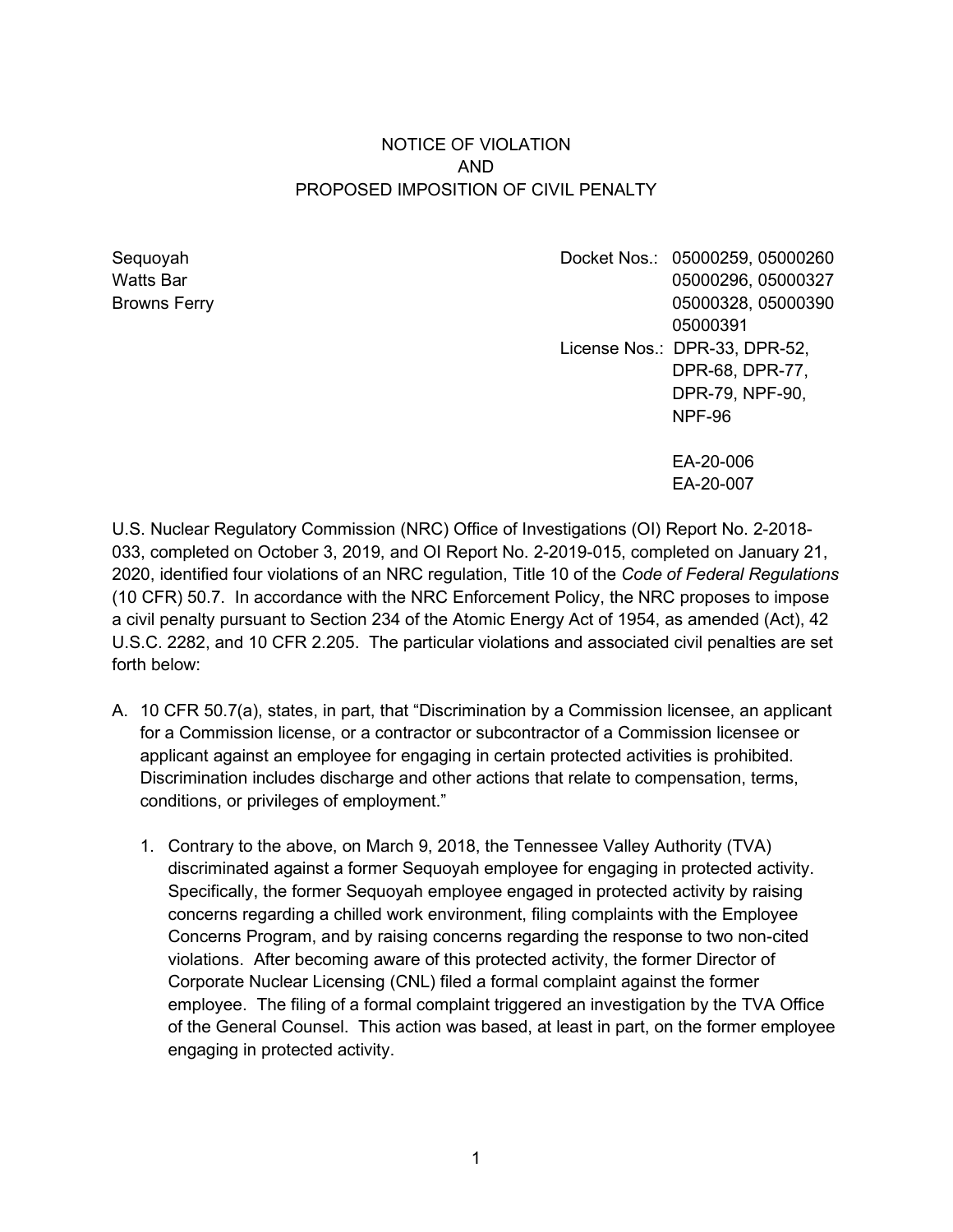## NOTICE OF VIOLATION AND PROPOSED IMPOSITION OF CIVIL PENALTY

Sequoyah Docket Nos.: 05000259, 05000260 Watts Bar 05000296, 05000327 Browns Ferry 05000328, 05000390 05000391 License Nos.: DPR-33, DPR-52, DPR-68, DPR-77, DPR-79, NPF-90, NPF-96

> EA-20-006 EA-20-007

U.S. Nuclear Regulatory Commission (NRC) Office of Investigations (OI) Report No. 2-2018- 033, completed on October 3, 2019, and OI Report No. 2-2019-015, completed on January 21, 2020, identified four violations of an NRC regulation, Title 10 of the *Code of Federal Regulations*  (10 CFR) 50.7. In accordance with the NRC Enforcement Policy, the NRC proposes to impose a civil penalty pursuant to Section 234 of the Atomic Energy Act of 1954, as amended (Act), 42 U.S.C. 2282, and 10 CFR 2.205. The particular violations and associated civil penalties are set forth below:

- A. 10 CFR 50.7(a), states, in part, that "Discrimination by a Commission licensee, an applicant for a Commission license, or a contractor or subcontractor of a Commission licensee or applicant against an employee for engaging in certain protected activities is prohibited. Discrimination includes discharge and other actions that relate to compensation, terms, conditions, or privileges of employment."
	- 1. Contrary to the above, on March 9, 2018, the Tennessee Valley Authority (TVA) discriminated against a former Sequoyah employee for engaging in protected activity. Specifically, the former Sequoyah employee engaged in protected activity by raising concerns regarding a chilled work environment, filing complaints with the Employee Concerns Program, and by raising concerns regarding the response to two non-cited violations. After becoming aware of this protected activity, the former Director of Corporate Nuclear Licensing (CNL) filed a formal complaint against the former employee. The filing of a formal complaint triggered an investigation by the TVA Office of the General Counsel. This action was based, at least in part, on the former employee engaging in protected activity.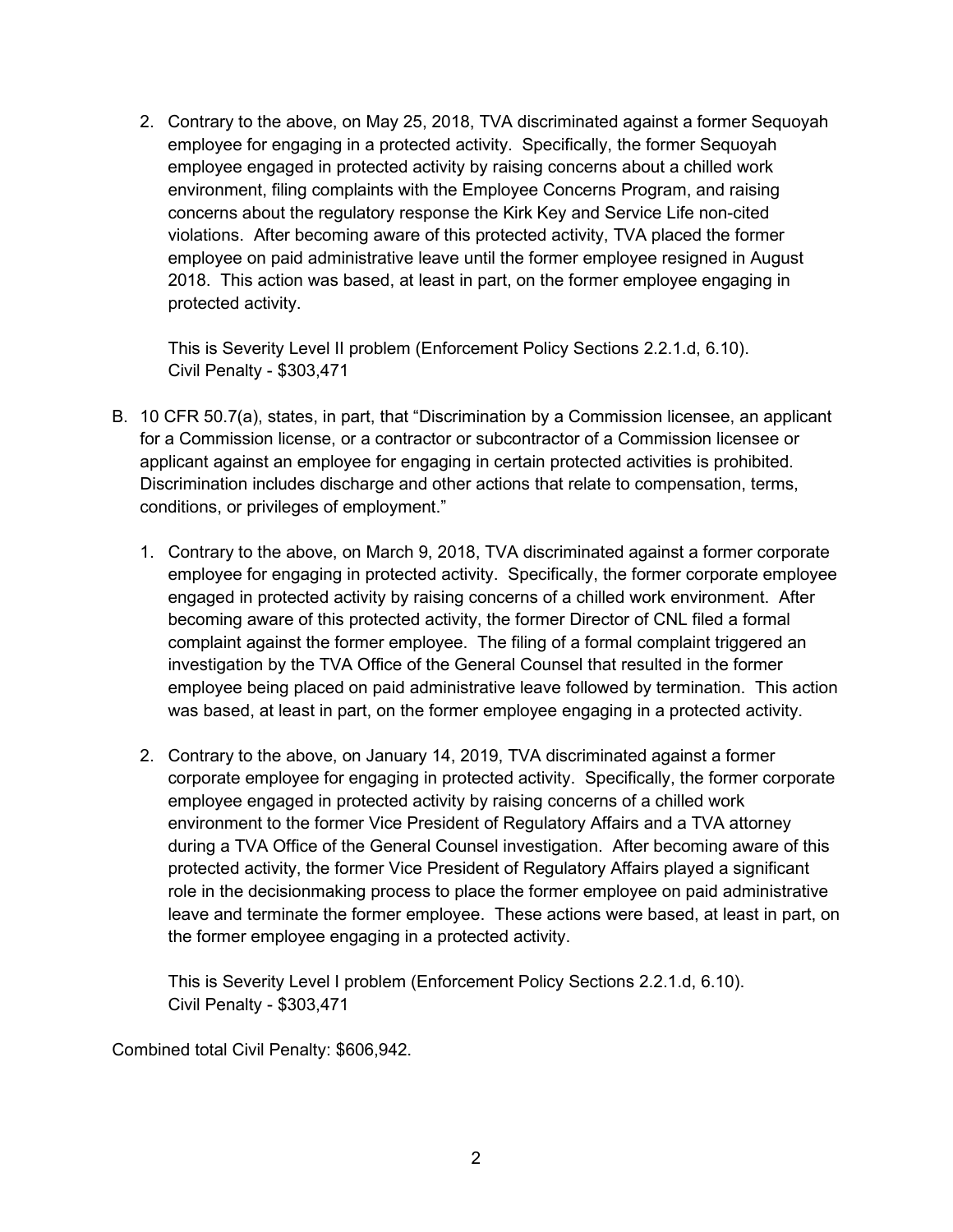2. Contrary to the above, on May 25, 2018, TVA discriminated against a former Sequoyah employee for engaging in a protected activity. Specifically, the former Sequoyah employee engaged in protected activity by raising concerns about a chilled work environment, filing complaints with the Employee Concerns Program, and raising concerns about the regulatory response the Kirk Key and Service Life non-cited violations. After becoming aware of this protected activity, TVA placed the former employee on paid administrative leave until the former employee resigned in August 2018. This action was based, at least in part, on the former employee engaging in protected activity.

This is Severity Level II problem (Enforcement Policy Sections 2.2.1.d, 6.10). Civil Penalty - \$303,471

- B. 10 CFR 50.7(a), states, in part, that "Discrimination by a Commission licensee, an applicant for a Commission license, or a contractor or subcontractor of a Commission licensee or applicant against an employee for engaging in certain protected activities is prohibited. Discrimination includes discharge and other actions that relate to compensation, terms, conditions, or privileges of employment."
	- 1. Contrary to the above, on March 9, 2018, TVA discriminated against a former corporate employee for engaging in protected activity. Specifically, the former corporate employee engaged in protected activity by raising concerns of a chilled work environment. After becoming aware of this protected activity, the former Director of CNL filed a formal complaint against the former employee. The filing of a formal complaint triggered an investigation by the TVA Office of the General Counsel that resulted in the former employee being placed on paid administrative leave followed by termination. This action was based, at least in part, on the former employee engaging in a protected activity.
	- 2. Contrary to the above, on January 14, 2019, TVA discriminated against a former corporate employee for engaging in protected activity. Specifically, the former corporate employee engaged in protected activity by raising concerns of a chilled work environment to the former Vice President of Regulatory Affairs and a TVA attorney during a TVA Office of the General Counsel investigation. After becoming aware of this protected activity, the former Vice President of Regulatory Affairs played a significant role in the decisionmaking process to place the former employee on paid administrative leave and terminate the former employee. These actions were based, at least in part, on the former employee engaging in a protected activity.

This is Severity Level I problem (Enforcement Policy Sections 2.2.1.d, 6.10). Civil Penalty - \$303,471

Combined total Civil Penalty: \$606,942.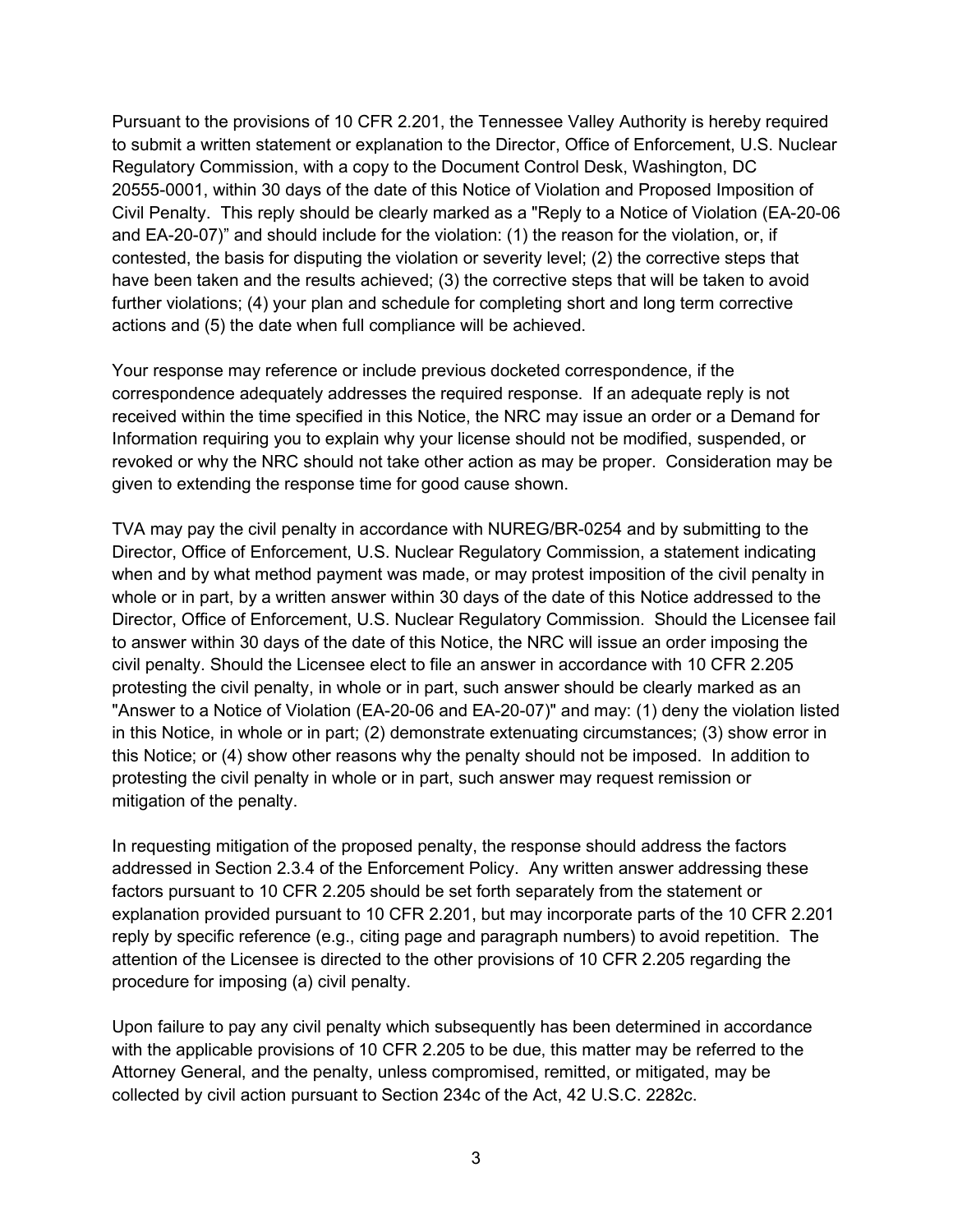Pursuant to the provisions of 10 CFR 2.201, the Tennessee Valley Authority is hereby required to submit a written statement or explanation to the Director, Office of Enforcement, U.S. Nuclear Regulatory Commission, with a copy to the Document Control Desk, Washington, DC 20555-0001, within 30 days of the date of this Notice of Violation and Proposed Imposition of Civil Penalty. This reply should be clearly marked as a "Reply to a Notice of Violation (EA-20-06 and EA-20-07)" and should include for the violation: (1) the reason for the violation, or, if contested, the basis for disputing the violation or severity level; (2) the corrective steps that have been taken and the results achieved; (3) the corrective steps that will be taken to avoid further violations; (4) your plan and schedule for completing short and long term corrective actions and (5) the date when full compliance will be achieved.

Your response may reference or include previous docketed correspondence, if the correspondence adequately addresses the required response. If an adequate reply is not received within the time specified in this Notice, the NRC may issue an order or a Demand for Information requiring you to explain why your license should not be modified, suspended, or revoked or why the NRC should not take other action as may be proper. Consideration may be given to extending the response time for good cause shown.

TVA may pay the civil penalty in accordance with NUREG/BR-0254 and by submitting to the Director, Office of Enforcement, U.S. Nuclear Regulatory Commission, a statement indicating when and by what method payment was made, or may protest imposition of the civil penalty in whole or in part, by a written answer within 30 days of the date of this Notice addressed to the Director, Office of Enforcement, U.S. Nuclear Regulatory Commission. Should the Licensee fail to answer within 30 days of the date of this Notice, the NRC will issue an order imposing the civil penalty. Should the Licensee elect to file an answer in accordance with 10 CFR 2.205 protesting the civil penalty, in whole or in part, such answer should be clearly marked as an "Answer to a Notice of Violation (EA-20-06 and EA-20-07)" and may: (1) deny the violation listed in this Notice, in whole or in part; (2) demonstrate extenuating circumstances; (3) show error in this Notice; or (4) show other reasons why the penalty should not be imposed. In addition to protesting the civil penalty in whole or in part, such answer may request remission or mitigation of the penalty.

In requesting mitigation of the proposed penalty, the response should address the factors addressed in Section 2.3.4 of the Enforcement Policy. Any written answer addressing these factors pursuant to 10 CFR 2.205 should be set forth separately from the statement or explanation provided pursuant to 10 CFR 2.201, but may incorporate parts of the 10 CFR 2.201 reply by specific reference (e.g., citing page and paragraph numbers) to avoid repetition. The attention of the Licensee is directed to the other provisions of 10 CFR 2.205 regarding the procedure for imposing (a) civil penalty.

Upon failure to pay any civil penalty which subsequently has been determined in accordance with the applicable provisions of 10 CFR 2.205 to be due, this matter may be referred to the Attorney General, and the penalty, unless compromised, remitted, or mitigated, may be collected by civil action pursuant to Section 234c of the Act, 42 U.S.C. 2282c.